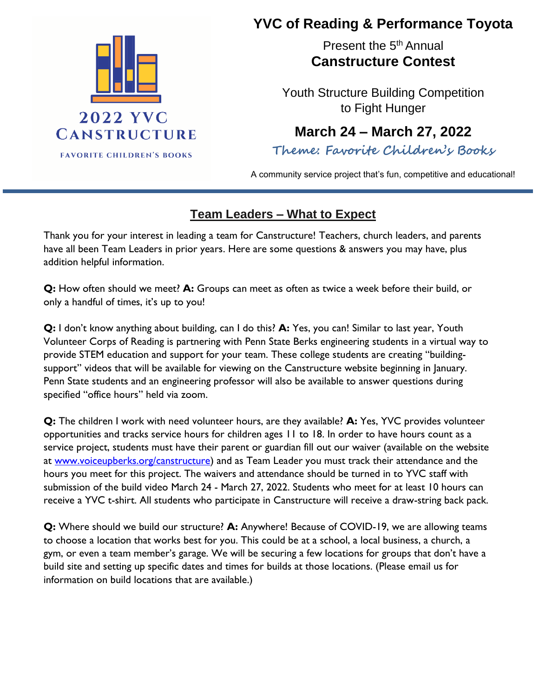

## **YVC of Reading & Performance Toyota**

Present the 5<sup>th</sup> Annual **Canstructure Contest**

Youth Structure Building Competition to Fight Hunger

## **March 24 – March 27, 2022**

**Theme: Favorite Children's Books**

 A community service project that's fun, competitive and educational!

## **Team Leaders – What to Expect**

Thank you for your interest in leading a team for Canstructure! Teachers, church leaders, and parents have all been Team Leaders in prior years. Here are some questions & answers you may have, plus addition helpful information.

**Q:** How often should we meet? **A:** Groups can meet as often as twice a week before their build, or only a handful of times, it's up to you!

**Q:** I don't know anything about building, can I do this? **A:** Yes, you can! Similar to last year, Youth Volunteer Corps of Reading is partnering with Penn State Berks engineering students in a virtual way to provide STEM education and support for your team. These college students are creating "buildingsupport" videos that will be available for viewing on the Canstructure website beginning in January. Penn State students and an engineering professor will also be available to answer questions during specified "office hours" held via zoom.

**Q:** The children I work with need volunteer hours, are they available? **A:** Yes, YVC provides volunteer opportunities and tracks service hours for children ages 11 to 18. In order to have hours count as a service project, students must have their parent or guardian fill out our waiver (available on the website at [www.voiceupberks.org/canstructure\)](http://www.voiceupberks.org/canstructure) and as Team Leader you must track their attendance and the hours you meet for this project. The waivers and attendance should be turned in to YVC staff with submission of the build video March 24 - March 27, 2022. Students who meet for at least 10 hours can receive a YVC t-shirt. All students who participate in Canstructure will receive a draw-string back pack.

**Q:** Where should we build our structure? **A:** Anywhere! Because of COVID-19, we are allowing teams to choose a location that works best for you. This could be at a school, a local business, a church, a gym, or even a team member's garage. We will be securing a few locations for groups that don't have a build site and setting up specific dates and times for builds at those locations. (Please email us for information on build locations that are available.)